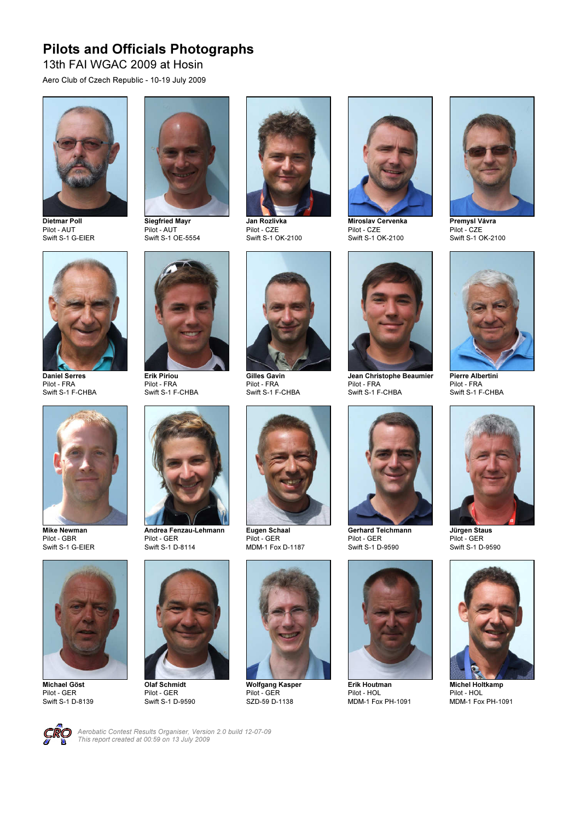## Pilots and Officials Photographs

13th FAI WGAC 2009 at Hosin

Aero Club of Czech Republic - 10-19 July 2009



Dietmar Poll Pilot - AUT Swift S-1 G-EIER



Siegfried Mayr Pilot - AUT Swift S-1 OE-5554



Jan Rozlivka Pilot - CZE Swift S-1 OK-2100



Miroslav Cervenka Pilot - CZE Swift S-1 OK-2100



Premysl Vávra Pilot - CZE Swift S-1 OK-2100



Daniel Serres Pilot - FRA Swift S-1 F-CHBA



Pilot - FRA Swift S-1 F-CHBA



Gilles Gavin Pilot - FRA Swift S-1 F-CHBA

Eugen Schaal Pilot - GER



Swift S-1 F-CHBA



Gerhard Teichmann Pilot - GER Swift S-1 D-9590



Erik Houtman Pilot - HOL MDM-1 Fox PH-1091



Pierre Albertini Pilot - FRA Swift S-1 F-CHBA



Mike Newman Pilot - GBR Swift S-1 G-EIER



Michael Göst Pilot - GER Swift S-1 D-8139



Olaf Schmidt Pilot - GER Swift S-1 D-9590



Wolfgang Kasper Pilot - GER SZD-59 D-1138



Jürgen Staus Pilot - GER Swift S-1 D-9590

Michel Holtkamp Pilot - HOL MDM-1 Fox PH-1091



Aerobatic Contest Results Organiser, Version 2.0 build 12-07-09 This report created at 00:59 on 13 July 2009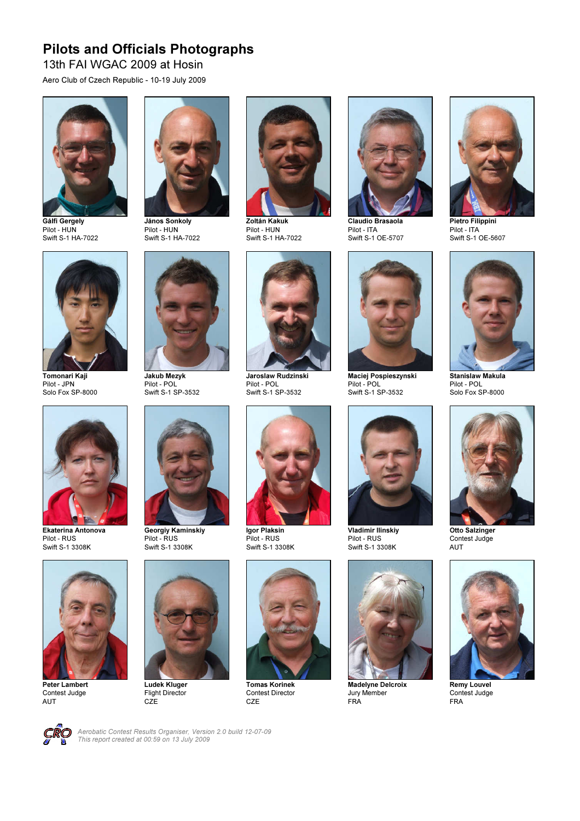## Pilots and Officials Photographs

13th FAI WGAC 2009 at Hosin

Aero Club of Czech Republic - 10-19 July 2009



Gálfi Gergely Pilot - HUN Swift S-1 HA-7022



János Sonkoly Pilot - HUN Swift S-1 HA-7022



Zoltán Kakuk Pilot - HUN Swift S-1 HA-7022



Claudio Brasaola Pilot - ITA Swift S-1 OE-5707



Pietro Filippini Pilot - ITA Swift S-1 OE-5607



Tomonari Kaji Pilot - JPN Solo Fox SP-8000



Pilot - POL Swift S-1 SP-3532



Jaroslaw Rudzinski Pilot - POL Swift S-1 SP-3532

Igor Plaksin Pilot - RUS Swift S-1 3308K

Tomas Korinek Contest Director **CZE** 



Maciej Pospieszynski Pilot - POL Swift S-1 SP-3532



Vladimir Ilinskiy Pilot - RUS Swift S-1 3308K



Madelyne Delcroix Jury Member FRA



Stanislaw Makula Pilot - POL Solo Fox SP-8000



Otto Salzinger Contest Judge AUT



Remy Louvel Contest Judge FRA



Pilot - RUS Swift S-1 3308K



Peter Lambert Contest Judge **AUT** 



Georgiy Kaminskiy Pilot - RUS

Ludek Kluger Flight Director CZE